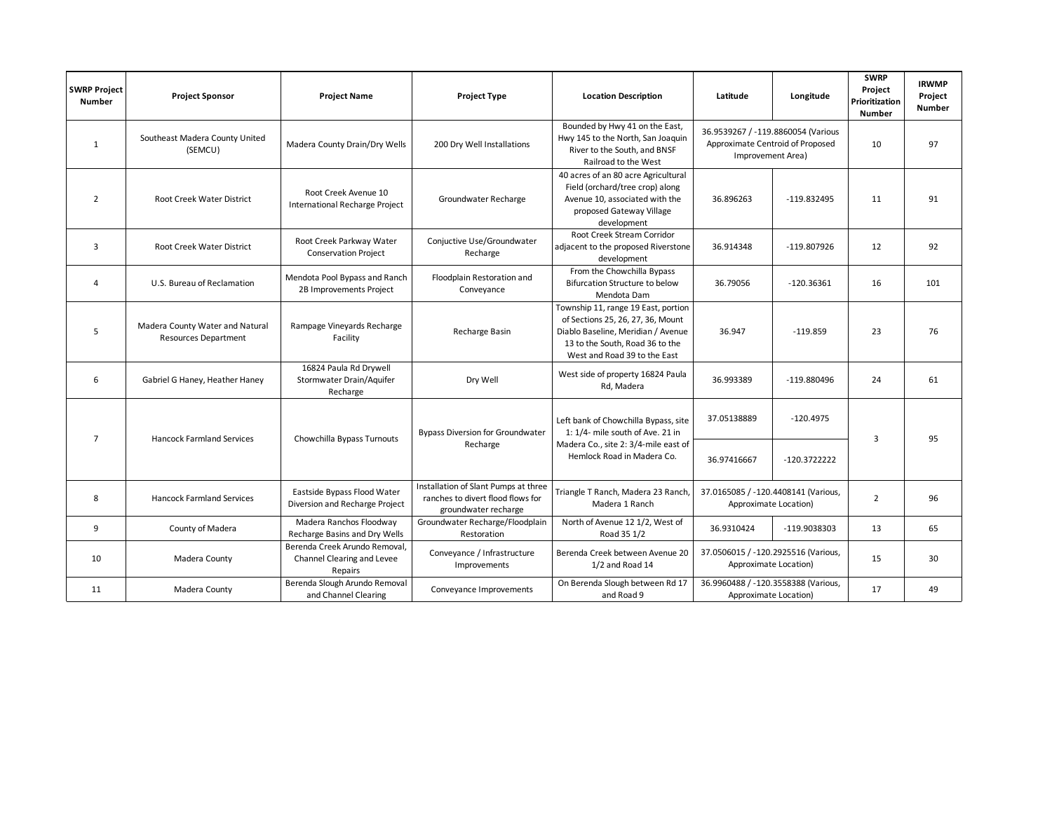| <b>SWRP Project</b><br><b>Number</b> | <b>Project Sponsor</b>                                         | <b>Project Name</b>                                                    | <b>Project Type</b>                                                                               | <b>Location Description</b>                                                                                                                                                       | Latitude                                                                                    | Longitude    | <b>SWRP</b><br>Project<br>Prioritization<br><b>Number</b> | <b>IRWMP</b><br>Project<br><b>Number</b> |
|--------------------------------------|----------------------------------------------------------------|------------------------------------------------------------------------|---------------------------------------------------------------------------------------------------|-----------------------------------------------------------------------------------------------------------------------------------------------------------------------------------|---------------------------------------------------------------------------------------------|--------------|-----------------------------------------------------------|------------------------------------------|
| 1                                    | Southeast Madera County United<br>(SEMCU)                      | Madera County Drain/Dry Wells                                          | 200 Dry Well Installations                                                                        | Bounded by Hwy 41 on the East,<br>Hwy 145 to the North, San Joaquin<br>River to the South, and BNSF<br>Railroad to the West                                                       | 36.9539267 / -119.8860054 (Various<br>Approximate Centroid of Proposed<br>Improvement Area) |              | 10                                                        | 97                                       |
| $\overline{2}$                       | Root Creek Water District                                      | Root Creek Avenue 10<br>International Recharge Project                 | Groundwater Recharge                                                                              | 40 acres of an 80 acre Agricultural<br>Field (orchard/tree crop) along<br>Avenue 10, associated with the<br>proposed Gateway Village<br>development                               | 36.896263                                                                                   | -119.832495  | 11                                                        | 91                                       |
| 3                                    | Root Creek Water District                                      | Root Creek Parkway Water<br><b>Conservation Project</b>                | Conjuctive Use/Groundwater<br>Recharge                                                            | Root Creek Stream Corridor<br>adjacent to the proposed Riverstone<br>development                                                                                                  | 36.914348                                                                                   | -119.807926  | 12                                                        | 92                                       |
| $\overline{4}$                       | U.S. Bureau of Reclamation                                     | Mendota Pool Bypass and Ranch<br>2B Improvements Project               | Floodplain Restoration and<br>Conveyance                                                          | From the Chowchilla Bypass<br>Bifurcation Structure to below<br>Mendota Dam                                                                                                       | 36.79056                                                                                    | $-120.36361$ | 16                                                        | 101                                      |
| 5                                    | Madera County Water and Natural<br><b>Resources Department</b> | Rampage Vineyards Recharge<br>Facility                                 | Recharge Basin                                                                                    | Township 11, range 19 East, portion<br>of Sections 25, 26, 27, 36, Mount<br>Diablo Baseline, Meridian / Avenue<br>13 to the South, Road 36 to the<br>West and Road 39 to the East | 36.947                                                                                      | $-119.859$   | 23                                                        | 76                                       |
| 6                                    | Gabriel G Haney, Heather Haney                                 | 16824 Paula Rd Drywell<br>Stormwater Drain/Aquifer<br>Recharge         | Dry Well                                                                                          | West side of property 16824 Paula<br>Rd, Madera                                                                                                                                   | 36.993389                                                                                   | -119.880496  | 24                                                        | 61                                       |
| $\overline{7}$                       | <b>Hancock Farmland Services</b>                               | Chowchilla Bypass Turnouts                                             | <b>Bypass Diversion for Groundwater</b><br>Recharge                                               | Left bank of Chowchilla Bypass, site<br>1: 1/4- mile south of Ave. 21 in<br>Madera Co., site 2: 3/4-mile east of<br>Hemlock Road in Madera Co.                                    | 37.05138889                                                                                 | $-120.4975$  |                                                           |                                          |
|                                      |                                                                |                                                                        |                                                                                                   |                                                                                                                                                                                   | 36.97416667                                                                                 | -120.3722222 | 3                                                         | 95                                       |
| 8                                    | <b>Hancock Farmland Services</b>                               | Eastside Bypass Flood Water<br>Diversion and Recharge Project          | Installation of Slant Pumps at three<br>ranches to divert flood flows for<br>groundwater recharge | Triangle T Ranch, Madera 23 Ranch,<br>Madera 1 Ranch                                                                                                                              | 37.0165085 / -120.4408141 (Various,<br>Approximate Location)                                |              | $\overline{2}$                                            | 96                                       |
| 9                                    | County of Madera                                               | Madera Ranchos Floodway<br>Recharge Basins and Dry Wells               | Groundwater Recharge/Floodplain<br>Restoration                                                    | North of Avenue 12 1/2, West of<br>Road 35 1/2                                                                                                                                    | 36.9310424                                                                                  | -119.9038303 | 13                                                        | 65                                       |
| 10                                   | Madera County                                                  | Berenda Creek Arundo Removal,<br>Channel Clearing and Levee<br>Repairs | Conveyance / Infrastructure<br>Improvements                                                       | Berenda Creek between Avenue 20<br>1/2 and Road 14                                                                                                                                | 37.0506015 / -120.2925516 (Various,<br>Approximate Location)                                |              | 15                                                        | 30                                       |
| 11                                   | Madera County                                                  | Berenda Slough Arundo Removal<br>and Channel Clearing                  | Conveyance Improvements                                                                           | On Berenda Slough between Rd 17<br>and Road 9                                                                                                                                     | 36.9960488 / -120.3558388 (Various,<br>Approximate Location)                                |              | 17                                                        | 49                                       |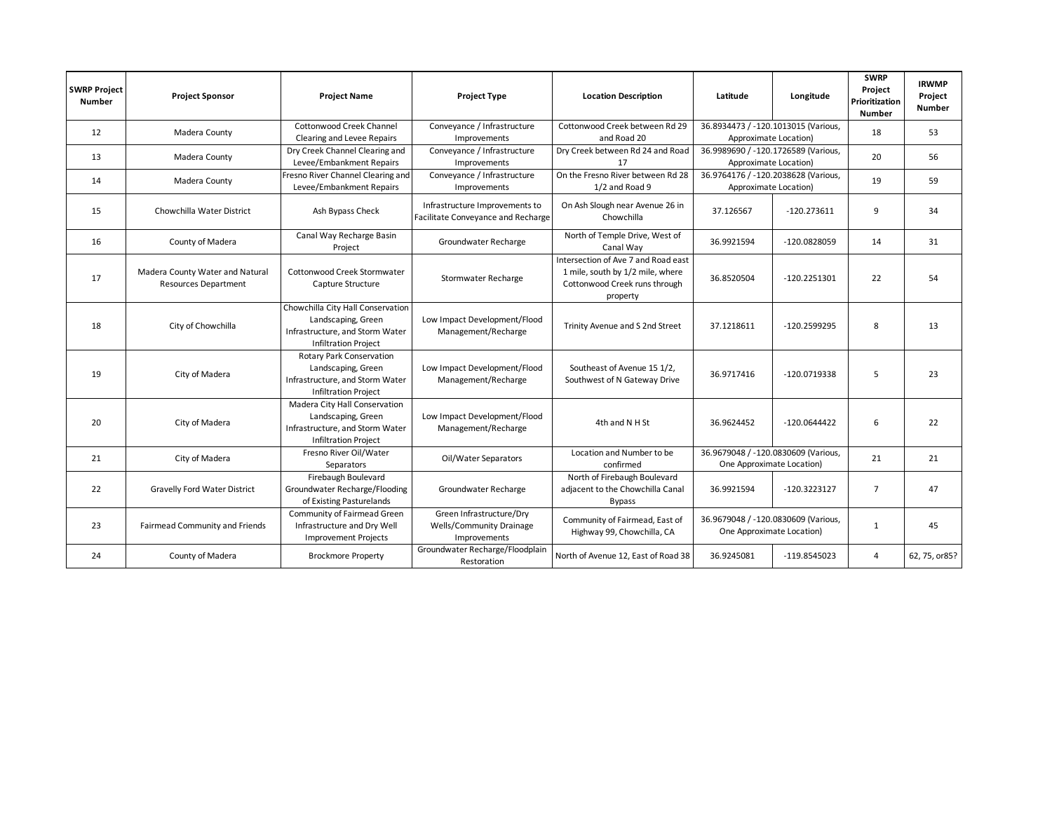| <b>SWRP Project</b><br><b>Number</b> | <b>Project Sponsor</b>                                         | <b>Project Name</b>                                                                                                       | <b>Project Type</b>                                                         | <b>Location Description</b>                                                                                          | Latitude                                                         | Longitude      | <b>SWRP</b><br>Project<br>Prioritization<br><b>Number</b> | <b>IRWMP</b><br>Project<br><b>Number</b> |
|--------------------------------------|----------------------------------------------------------------|---------------------------------------------------------------------------------------------------------------------------|-----------------------------------------------------------------------------|----------------------------------------------------------------------------------------------------------------------|------------------------------------------------------------------|----------------|-----------------------------------------------------------|------------------------------------------|
| 12                                   | Madera County                                                  | Cottonwood Creek Channel<br>Clearing and Levee Repairs                                                                    | Conveyance / Infrastructure<br>Improvements                                 | Cottonwood Creek between Rd 29<br>and Road 20                                                                        | 36.8934473 / -120.1013015 (Various,<br>Approximate Location)     |                | 18                                                        | 53                                       |
| 13                                   | Madera County                                                  | Dry Creek Channel Clearing and<br>Levee/Embankment Repairs                                                                | Conveyance / Infrastructure<br>Improvements                                 | Dry Creek between Rd 24 and Road<br>17                                                                               | 36.9989690 / -120.1726589 (Various,<br>Approximate Location)     |                | 20                                                        | 56                                       |
| 14                                   | Madera County                                                  | Fresno River Channel Clearing and<br>Levee/Embankment Repairs                                                             | Conveyance / Infrastructure<br>Improvements                                 | On the Fresno River between Rd 28<br>1/2 and Road 9                                                                  | 36.9764176 / -120.2038628 (Various,<br>Approximate Location)     |                | 19                                                        | 59                                       |
| 15                                   | Chowchilla Water District                                      | Ash Bypass Check                                                                                                          | Infrastructure Improvements to<br>Facilitate Conveyance and Recharge        | On Ash Slough near Avenue 26 in<br>Chowchilla                                                                        | 37.126567                                                        | $-120.273611$  | 9                                                         | 34                                       |
| 16                                   | County of Madera                                               | Canal Way Recharge Basin<br>Project                                                                                       | Groundwater Recharge                                                        | North of Temple Drive, West of<br>Canal Way                                                                          | 36.9921594                                                       | -120.0828059   | 14                                                        | 31                                       |
| 17                                   | Madera County Water and Natural<br><b>Resources Department</b> | Cottonwood Creek Stormwater<br>Capture Structure                                                                          | Stormwater Recharge                                                         | Intersection of Ave 7 and Road east<br>1 mile, south by 1/2 mile, where<br>Cottonwood Creek runs through<br>property | 36.8520504                                                       | $-120.2251301$ | 22                                                        | 54                                       |
| 18                                   | City of Chowchilla                                             | Chowchilla City Hall Conservation<br>Landscaping, Green<br>Infrastructure, and Storm Water<br><b>Infiltration Project</b> | Low Impact Development/Flood<br>Management/Recharge                         | Trinity Avenue and S 2nd Street                                                                                      | 37.1218611                                                       | -120.2599295   | 8                                                         | 13                                       |
| 19                                   | City of Madera                                                 | <b>Rotary Park Conservation</b><br>Landscaping, Green<br>Infrastructure, and Storm Water<br><b>Infiltration Project</b>   | Low Impact Development/Flood<br>Management/Recharge                         | Southeast of Avenue 15 1/2,<br>Southwest of N Gateway Drive                                                          | 36.9717416                                                       | -120.0719338   | 5                                                         | 23                                       |
| 20                                   | City of Madera                                                 | Madera City Hall Conservation<br>Landscaping, Green<br>Infrastructure, and Storm Water<br><b>Infiltration Project</b>     | Low Impact Development/Flood<br>Management/Recharge                         | 4th and N H St                                                                                                       | 36.9624452                                                       | $-120.0644422$ | 6                                                         | 22                                       |
| 21                                   | City of Madera                                                 | Fresno River Oil/Water<br>Separators                                                                                      | Oil/Water Separators                                                        | Location and Number to be<br>confirmed                                                                               | 36.9679048 / -120.0830609 (Various,<br>One Approximate Location) |                | 21                                                        | 21                                       |
| 22                                   | Gravelly Ford Water District                                   | Firebaugh Boulevard<br>Groundwater Recharge/Flooding<br>of Existing Pasturelands                                          | Groundwater Recharge                                                        | North of Firebaugh Boulevard<br>adjacent to the Chowchilla Canal<br><b>Bypass</b>                                    | 36.9921594                                                       | -120.3223127   | $\overline{7}$                                            | 47                                       |
| 23                                   | Fairmead Community and Friends                                 | Community of Fairmead Green<br>Infrastructure and Dry Well<br><b>Improvement Projects</b>                                 | Green Infrastructure/Dry<br><b>Wells/Community Drainage</b><br>Improvements | Community of Fairmead, East of<br>Highway 99, Chowchilla, CA                                                         | 36.9679048 / -120.0830609 (Various,<br>One Approximate Location) |                | $\mathbf{1}$                                              | 45                                       |
| 24                                   | County of Madera                                               | <b>Brockmore Property</b>                                                                                                 | Groundwater Recharge/Floodplain<br>Restoration                              | North of Avenue 12, East of Road 38                                                                                  | 36.9245081                                                       | $-119.8545023$ | 4                                                         | 62, 75, or85?                            |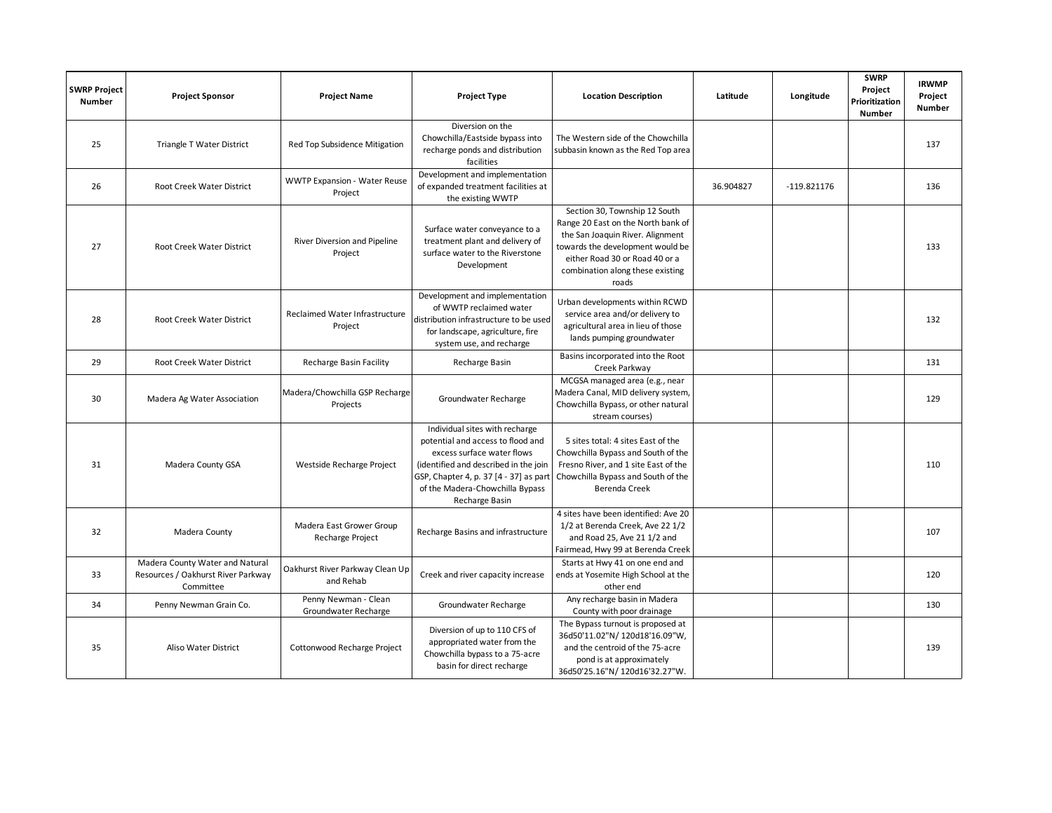| <b>SWRP Project</b><br><b>Number</b> | <b>Project Sponsor</b>                                                             | <b>Project Name</b>                            | <b>Project Type</b>                                                                                                                                                                                                                       | <b>Location Description</b>                                                                                                                                                                                                | Latitude  | Longitude     | <b>SWRP</b><br>Project<br>Prioritization<br><b>Number</b> | <b>IRWMP</b><br>Project<br>Number |
|--------------------------------------|------------------------------------------------------------------------------------|------------------------------------------------|-------------------------------------------------------------------------------------------------------------------------------------------------------------------------------------------------------------------------------------------|----------------------------------------------------------------------------------------------------------------------------------------------------------------------------------------------------------------------------|-----------|---------------|-----------------------------------------------------------|-----------------------------------|
| 25                                   | Triangle T Water District                                                          | Red Top Subsidence Mitigation                  | Diversion on the<br>Chowchilla/Eastside bypass into<br>recharge ponds and distribution<br>facilities                                                                                                                                      | The Western side of the Chowchilla<br>subbasin known as the Red Top area                                                                                                                                                   |           |               |                                                           | 137                               |
| 26                                   | Root Creek Water District                                                          | <b>WWTP Expansion - Water Reuse</b><br>Project | Development and implementation<br>of expanded treatment facilities at<br>the existing WWTP                                                                                                                                                |                                                                                                                                                                                                                            | 36.904827 | $-119.821176$ |                                                           | 136                               |
| 27                                   | Root Creek Water District                                                          | River Diversion and Pipeline<br>Project        | Surface water conveyance to a<br>treatment plant and delivery of<br>surface water to the Riverstone<br>Development                                                                                                                        | Section 30, Township 12 South<br>Range 20 East on the North bank of<br>the San Joaquin River. Alignment<br>towards the development would be<br>either Road 30 or Road 40 or a<br>combination along these existing<br>roads |           |               |                                                           | 133                               |
| 28                                   | Root Creek Water District                                                          | Reclaimed Water Infrastructure<br>Project      | Development and implementation<br>of WWTP reclaimed water<br>distribution infrastructure to be used<br>for landscape, agriculture, fire<br>system use, and recharge                                                                       | Urban developments within RCWD<br>service area and/or delivery to<br>agricultural area in lieu of those<br>lands pumping groundwater                                                                                       |           |               |                                                           | 132                               |
| 29                                   | Root Creek Water District                                                          | <b>Recharge Basin Facility</b>                 | Recharge Basin                                                                                                                                                                                                                            | Basins incorporated into the Root<br>Creek Parkway                                                                                                                                                                         |           |               |                                                           | 131                               |
| 30                                   | Madera Ag Water Association                                                        | Madera/Chowchilla GSP Recharge<br>Projects     | Groundwater Recharge                                                                                                                                                                                                                      | MCGSA managed area (e.g., near<br>Madera Canal, MID delivery system,<br>Chowchilla Bypass, or other natural<br>stream courses)                                                                                             |           |               |                                                           | 129                               |
| 31                                   | Madera County GSA                                                                  | Westside Recharge Project                      | Individual sites with recharge<br>potential and access to flood and<br>excess surface water flows<br>(identified and described in the join<br>GSP, Chapter 4, p. 37 [4 - 37] as part<br>of the Madera-Chowchilla Bypass<br>Recharge Basin | 5 sites total: 4 sites East of the<br>Chowchilla Bypass and South of the<br>Fresno River, and 1 site East of the<br>Chowchilla Bypass and South of the<br>Berenda Creek                                                    |           |               |                                                           | 110                               |
| 32                                   | Madera County                                                                      | Madera East Grower Group<br>Recharge Project   | Recharge Basins and infrastructure                                                                                                                                                                                                        | 4 sites have been identified: Ave 20<br>1/2 at Berenda Creek, Ave 22 1/2<br>and Road 25, Ave 21 1/2 and<br>Fairmead, Hwy 99 at Berenda Creek                                                                               |           |               |                                                           | 107                               |
| 33                                   | Madera County Water and Natural<br>Resources / Oakhurst River Parkway<br>Committee | Oakhurst River Parkway Clean Up<br>and Rehab   | Creek and river capacity increase                                                                                                                                                                                                         | Starts at Hwy 41 on one end and<br>ends at Yosemite High School at the<br>other end                                                                                                                                        |           |               |                                                           | 120                               |
| 34                                   | Penny Newman Grain Co.                                                             | Penny Newman - Clean<br>Groundwater Recharge   | Groundwater Recharge                                                                                                                                                                                                                      | Any recharge basin in Madera<br>County with poor drainage                                                                                                                                                                  |           |               |                                                           | 130                               |
| 35                                   | <b>Aliso Water District</b>                                                        | <b>Cottonwood Recharge Project</b>             | Diversion of up to 110 CFS of<br>appropriated water from the<br>Chowchilla bypass to a 75-acre<br>basin for direct recharge                                                                                                               | The Bypass turnout is proposed at<br>36d50'11.02"N/120d18'16.09"W,<br>and the centroid of the 75-acre<br>pond is at approximately<br>36d50'25.16"N/120d16'32.27"W.                                                         |           |               |                                                           | 139                               |